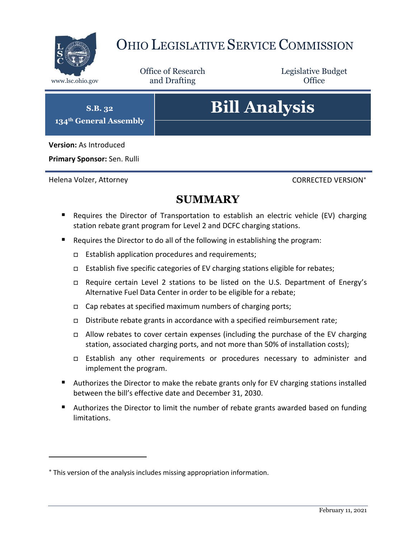

## OHIO LEGISLATIVE SERVICE COMMISSION

Office of Research www.lsc.ohio.gov **and Drafting Office** 

Legislative Budget

**S.B. 32 134th General Assembly**

# **Bill Analysis**

**Version:** As Introduced

**Primary Sponsor:** Sen. Rulli

Helena Volzer, Attorney CORRECTED VERSION

 $\overline{a}$ 

## **SUMMARY**

- **E** Requires the Director of Transportation to establish an electric vehicle (EV) charging station rebate grant program for Level 2 and DCFC charging stations.
- Requires the Director to do all of the following in establishing the program:
	- $\Box$  Establish application procedures and requirements;
	- □ Establish five specific categories of EV charging stations eligible for rebates;
	- Require certain Level 2 stations to be listed on the U.S. Department of Energy's Alternative Fuel Data Center in order to be eligible for a rebate;
	- $\Box$  Cap rebates at specified maximum numbers of charging ports;
	- Distribute rebate grants in accordance with a specified reimbursement rate;
	- $\Box$  Allow rebates to cover certain expenses (including the purchase of the EV charging station, associated charging ports, and not more than 50% of installation costs);
	- □ Establish any other requirements or procedures necessary to administer and implement the program.
- Authorizes the Director to make the rebate grants only for EV charging stations installed between the bill's effective date and December 31, 2030.
- Authorizes the Director to limit the number of rebate grants awarded based on funding limitations.

This version of the analysis includes missing appropriation information.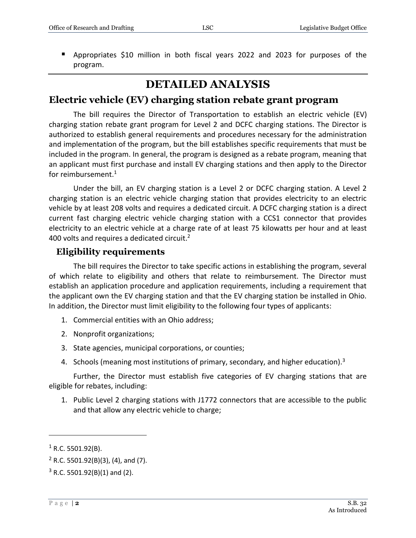Appropriates \$10 million in both fiscal years 2022 and 2023 for purposes of the program.

### **DETAILED ANALYSIS**

#### **Electric vehicle (EV) charging station rebate grant program**

The bill requires the Director of Transportation to establish an electric vehicle (EV) charging station rebate grant program for Level 2 and DCFC charging stations. The Director is authorized to establish general requirements and procedures necessary for the administration and implementation of the program, but the bill establishes specific requirements that must be included in the program. In general, the program is designed as a rebate program, meaning that an applicant must first purchase and install EV charging stations and then apply to the Director for reimbursement.<sup>1</sup>

Under the bill, an EV charging station is a Level 2 or DCFC charging station. A Level 2 charging station is an electric vehicle charging station that provides electricity to an electric vehicle by at least 208 volts and requires a dedicated circuit. A DCFC charging station is a direct current fast charging electric vehicle charging station with a CCS1 connector that provides electricity to an electric vehicle at a charge rate of at least 75 kilowatts per hour and at least 400 volts and requires a dedicated circuit.<sup>2</sup>

#### **Eligibility requirements**

The bill requires the Director to take specific actions in establishing the program, several of which relate to eligibility and others that relate to reimbursement. The Director must establish an application procedure and application requirements, including a requirement that the applicant own the EV charging station and that the EV charging station be installed in Ohio. In addition, the Director must limit eligibility to the following four types of applicants:

- 1. Commercial entities with an Ohio address;
- 2. Nonprofit organizations;
- 3. State agencies, municipal corporations, or counties;
- 4. Schools (meaning most institutions of primary, secondary, and higher education).<sup>3</sup>

Further, the Director must establish five categories of EV charging stations that are eligible for rebates, including:

1. Public Level 2 charging stations with J1772 connectors that are accessible to the public and that allow any electric vehicle to charge;

 $1$  R.C. 5501.92(B).

 $2$  R.C. 5501.92(B)(3), (4), and (7).

 $3$  R.C. 5501.92(B)(1) and (2).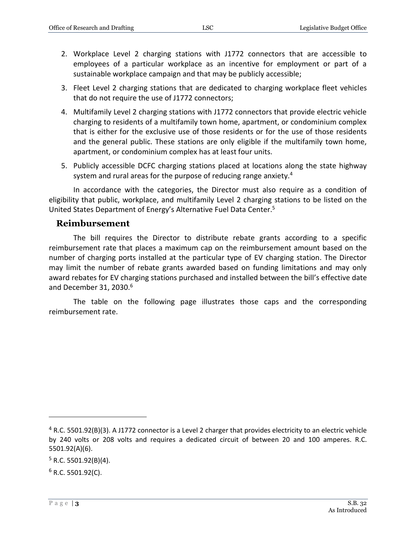- 2. Workplace Level 2 charging stations with J1772 connectors that are accessible to employees of a particular workplace as an incentive for employment or part of a sustainable workplace campaign and that may be publicly accessible;
- 3. Fleet Level 2 charging stations that are dedicated to charging workplace fleet vehicles that do not require the use of J1772 connectors;
- 4. Multifamily Level 2 charging stations with J1772 connectors that provide electric vehicle charging to residents of a multifamily town home, apartment, or condominium complex that is either for the exclusive use of those residents or for the use of those residents and the general public. These stations are only eligible if the multifamily town home, apartment, or condominium complex has at least four units.
- 5. Publicly accessible DCFC charging stations placed at locations along the state highway system and rural areas for the purpose of reducing range anxiety.<sup>4</sup>

In accordance with the categories, the Director must also require as a condition of eligibility that public, workplace, and multifamily Level 2 charging stations to be listed on the United States Department of Energy's Alternative Fuel Data Center. 5

#### **Reimbursement**

The bill requires the Director to distribute rebate grants according to a specific reimbursement rate that places a maximum cap on the reimbursement amount based on the number of charging ports installed at the particular type of EV charging station. The Director may limit the number of rebate grants awarded based on funding limitations and may only award rebates for EV charging stations purchased and installed between the bill's effective date and December 31, 2030.<sup>6</sup>

The table on the following page illustrates those caps and the corresponding reimbursement rate.

 $5$  R.C. 5501.92(B)(4).

<sup>4</sup> R.C. 5501.92(B)(3). A J1772 connector is a Level 2 charger that provides electricity to an electric vehicle by 240 volts or 208 volts and requires a dedicated circuit of between 20 and 100 amperes. R.C. 5501.92(A)(6).

 $6$  R.C. 5501.92(C).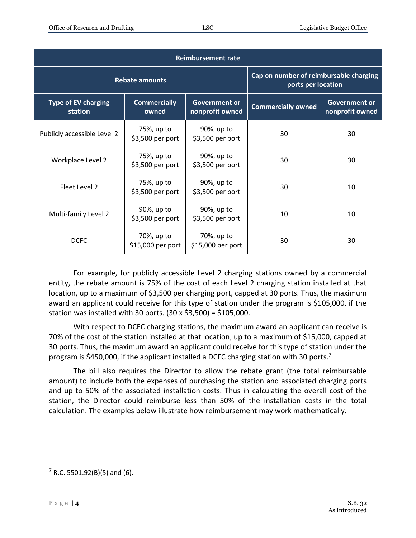| <b>Reimbursement rate</b>             |                                 |                                         |                                                              |                                         |  |
|---------------------------------------|---------------------------------|-----------------------------------------|--------------------------------------------------------------|-----------------------------------------|--|
| <b>Rebate amounts</b>                 |                                 |                                         | Cap on number of reimbursable charging<br>ports per location |                                         |  |
| <b>Type of EV charging</b><br>station | <b>Commercially</b><br>owned    | <b>Government or</b><br>nonprofit owned | <b>Commercially owned</b>                                    | <b>Government or</b><br>nonprofit owned |  |
| Publicly accessible Level 2           | 75%, up to<br>\$3,500 per port  | 90%, up to<br>\$3,500 per port          | 30                                                           | 30                                      |  |
| Workplace Level 2                     | 75%, up to<br>\$3,500 per port  | 90%, up to<br>\$3,500 per port          | 30                                                           | 30                                      |  |
| Fleet Level 2                         | 75%, up to<br>\$3,500 per port  | 90%, up to<br>\$3,500 per port          | 30                                                           | 10                                      |  |
| Multi-family Level 2                  | 90%, up to<br>\$3,500 per port  | 90%, up to<br>\$3,500 per port          | 10                                                           | 10                                      |  |
| <b>DCFC</b>                           | 70%, up to<br>\$15,000 per port | 70%, up to<br>\$15,000 per port         | 30                                                           | 30                                      |  |

For example, for publicly accessible Level 2 charging stations owned by a commercial entity, the rebate amount is 75% of the cost of each Level 2 charging station installed at that location, up to a maximum of \$3,500 per charging port, capped at 30 ports. Thus, the maximum award an applicant could receive for this type of station under the program is \$105,000, if the station was installed with 30 ports. (30 x \$3,500) = \$105,000.

With respect to DCFC charging stations, the maximum award an applicant can receive is 70% of the cost of the station installed at that location, up to a maximum of \$15,000, capped at 30 ports. Thus, the maximum award an applicant could receive for this type of station under the program is \$450,000, if the applicant installed a DCFC charging station with 30 ports.<sup>7</sup>

The bill also requires the Director to allow the rebate grant (the total reimbursable amount) to include both the expenses of purchasing the station and associated charging ports and up to 50% of the associated installation costs. Thus in calculating the overall cost of the station, the Director could reimburse less than 50% of the installation costs in the total calculation. The examples below illustrate how reimbursement may work mathematically.

 $7$  R.C. 5501.92(B)(5) and (6).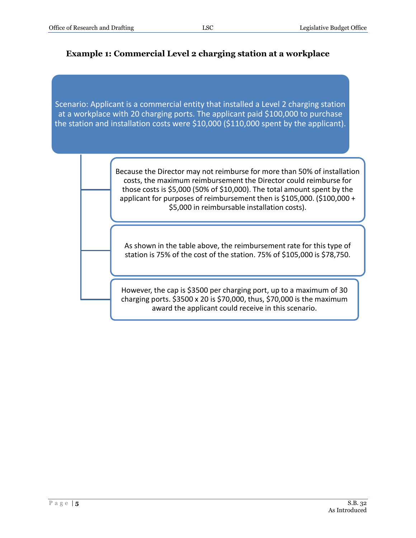#### **Example 1: Commercial Level 2 charging station at a workplace**

Scenario: Applicant is a commercial entity that installed a Level 2 charging station at a workplace with 20 charging ports. The applicant paid \$100,000 to purchase the station and installation costs were \$10,000 (\$110,000 spent by the applicant).

> Because the Director may not reimburse for more than 50% of installation costs, the maximum reimbursement the Director could reimburse for those costs is \$5,000 (50% of \$10,000). The total amount spent by the applicant for purposes of reimbursement then is \$105,000. (\$100,000 + \$5,000 in reimbursable installation costs).

As shown in the table above, the reimbursement rate for this type of station is 75% of the cost of the station. 75% of \$105,000 is \$78,750.

However, the cap is \$3500 per charging port, up to a maximum of 30 charging ports. \$3500 x 20 is \$70,000, thus, \$70,000 is the maximum award the applicant could receive in this scenario.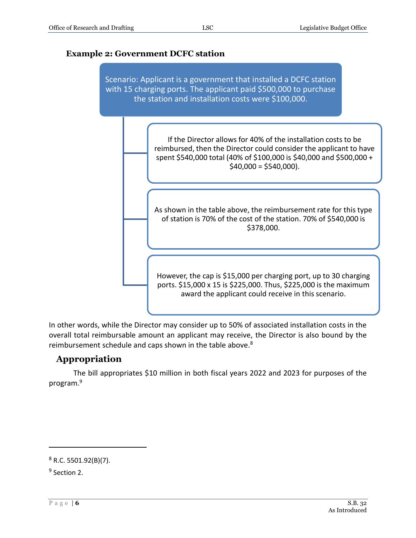#### **Example 2: Government DCFC station**



In other words, while the Director may consider up to 50% of associated installation costs in the overall total reimbursable amount an applicant may receive, the Director is also bound by the reimbursement schedule and caps shown in the table above.<sup>8</sup>

#### **Appropriation**

The bill appropriates \$10 million in both fiscal years 2022 and 2023 for purposes of the program.<sup>9</sup>

 $8$  R.C. 5501.92(B)(7).

<sup>&</sup>lt;sup>9</sup> Section 2.